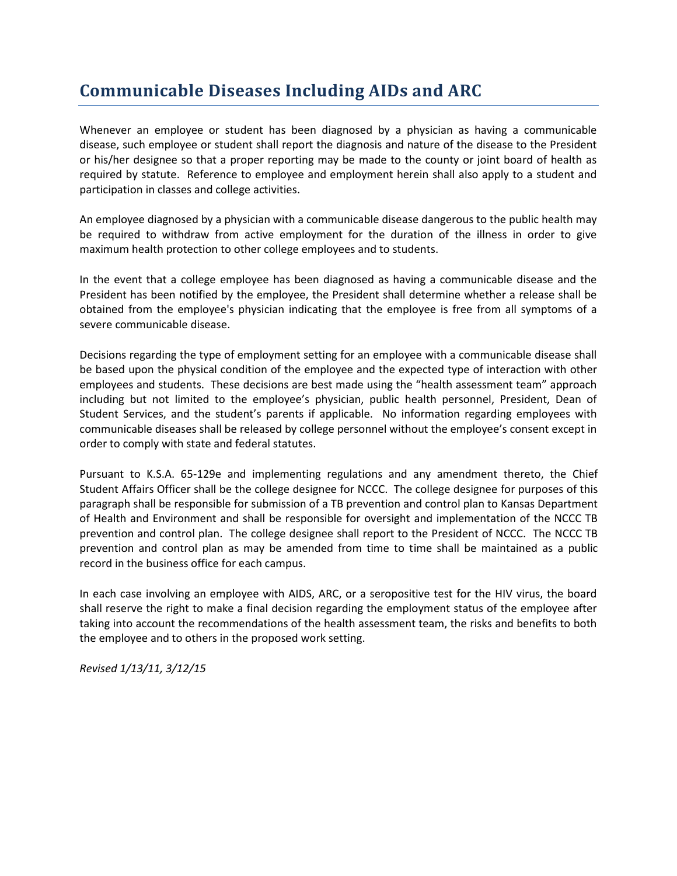# **Communicable Diseases Including AIDs and ARC**

Whenever an employee or student has been diagnosed by a physician as having a communicable disease, such employee or student shall report the diagnosis and nature of the disease to the President or his/her designee so that a proper reporting may be made to the county or joint board of health as required by statute. Reference to employee and employment herein shall also apply to a student and participation in classes and college activities.

An employee diagnosed by a physician with a communicable disease dangerous to the public health may be required to withdraw from active employment for the duration of the illness in order to give maximum health protection to other college employees and to students.

In the event that a college employee has been diagnosed as having a communicable disease and the President has been notified by the employee, the President shall determine whether a release shall be obtained from the employee's physician indicating that the employee is free from all symptoms of a severe communicable disease.

Decisions regarding the type of employment setting for an employee with a communicable disease shall be based upon the physical condition of the employee and the expected type of interaction with other employees and students. These decisions are best made using the "health assessment team" approach including but not limited to the employee's physician, public health personnel, President, Dean of Student Services, and the student's parents if applicable. No information regarding employees with communicable diseases shall be released by college personnel without the employee's consent except in order to comply with state and federal statutes.

Pursuant to K.S.A. 65-129e and implementing regulations and any amendment thereto, the Chief Student Affairs Officer shall be the college designee for NCCC. The college designee for purposes of this paragraph shall be responsible for submission of a TB prevention and control plan to Kansas Department of Health and Environment and shall be responsible for oversight and implementation of the NCCC TB prevention and control plan. The college designee shall report to the President of NCCC. The NCCC TB prevention and control plan as may be amended from time to time shall be maintained as a public record in the business office for each campus.

In each case involving an employee with AIDS, ARC, or a seropositive test for the HIV virus, the board shall reserve the right to make a final decision regarding the employment status of the employee after taking into account the recommendations of the health assessment team, the risks and benefits to both the employee and to others in the proposed work setting.

*Revised 1/13/11, 3/12/15*